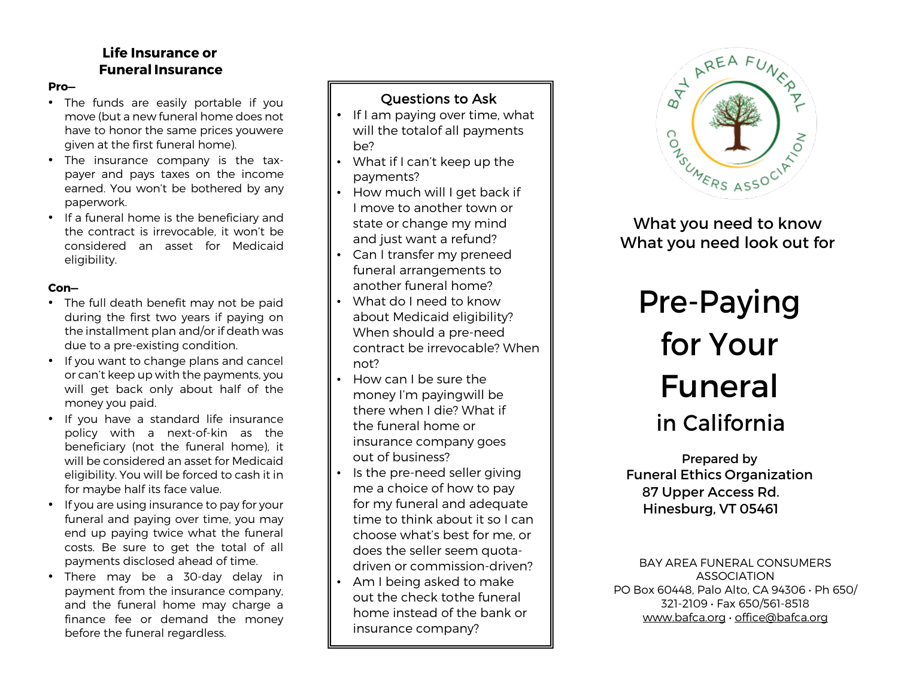## **Life Insurance or Funeral Insurance**

#### **Pro—**

- The funds are easily portable if you move (but a new funeral home does not have to honor the same prices youwere given at the first funeral home).
- The insurance company is the taxpayer and pays taxes on the income earned. You won't be bothered by any paperwork.
- If a funeral home is the beneficiary and the contract is irrevocable, it won't be considered an asset for Medicaid eligibility.

#### **Con—**

- The full death benefit may not be paid during the first two years if paying on the installment plan and/or if death was due to a pre-existing condition.
- If you want to change plans and cancel or can't keep up with the payments, you will get back only about half of the money you paid.
- If you have a standard life insurance policy with a next-of-kin as the beneficiary (not the funeral home), it will be considered an asset for Medicaid eligibility. You will be forced to cash it in for maybe half its face value.
- If you are using insurance to pay for your funeral and paying over time, you may end up paying twice what the funeral costs. Be sure to get the total of all payments disclosed ahead of time.
- There may be a 30-day delay in payment from the insurance company, and the funeral home may charge a finance fee or demand the money before the funeral regardless.

# Questions to Ask

- If I am paying over time, what will the totalof all payments be?
- What if I can't keep up the payments?
- How much will I get back if I move to another town or state or change my mind and just want a refund?
- Can I transfer my preneed funeral arrangements to another funeral home?
- What do I need to know about Medicaid eligibility? When should a pre-need contract be irrevocable? When not?
- How can I be sure the money I'm payingwill be there when I die? What if the funeral home or insurance company goes out of business?
- Is the pre-need seller giving me a choice of how to pay for my funeral and adequate time to think about it so I can choose what's best for me, or does the seller seem quotadriven or commission-driven?
- Am I being asked to make out the check tothe funeral home instead of the bank or insurance company?



What you need to know What you need look out for

# Pre-Paying for Your Funeral in California

Prepared by Funeral Ethics Organization 87 Upper Access Rd. Hinesburg, VT 05461

BAY AREA FUNERAL CONSUMERS ASSOCIATION PO Box 60448, Palo Alto, CA 94306 • Ph 650/ 321-2109 • Fax 650/561-8518 www.bafca.org • office@bafca.org